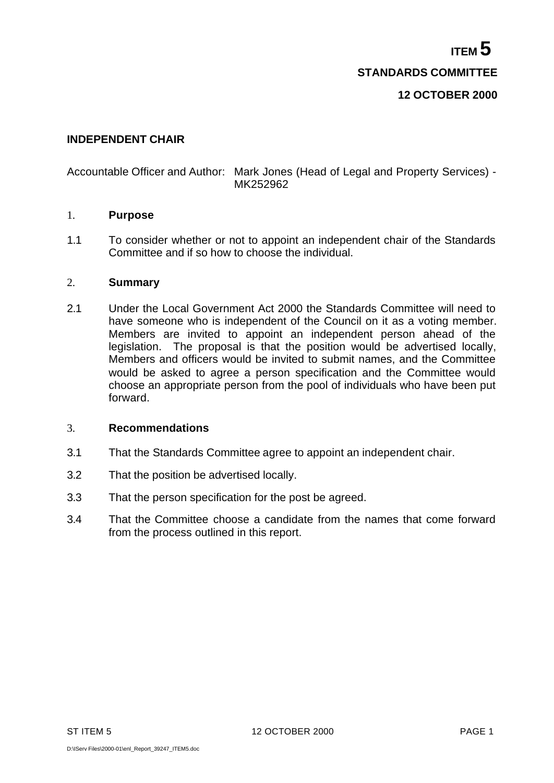**ITEM 5 STANDARDS COMMITTEE**

# **12 OCTOBER 2000**

## **INDEPENDENT CHAIR**

# Accountable Officer and Author: Mark Jones (Head of Legal and Property Services) - MK252962

### 1. **Purpose**

1.1 To consider whether or not to appoint an independent chair of the Standards Committee and if so how to choose the individual.

#### 2. **Summary**

2.1 Under the Local Government Act 2000 the Standards Committee will need to have someone who is independent of the Council on it as a voting member. Members are invited to appoint an independent person ahead of the legislation. The proposal is that the position would be advertised locally, Members and officers would be invited to submit names, and the Committee would be asked to agree a person specification and the Committee would choose an appropriate person from the pool of individuals who have been put forward.

#### 3. **Recommendations**

- 3.1 That the Standards Committee agree to appoint an independent chair.
- 3.2 That the position be advertised locally.
- 3.3 That the person specification for the post be agreed.
- 3.4 That the Committee choose a candidate from the names that come forward from the process outlined in this report.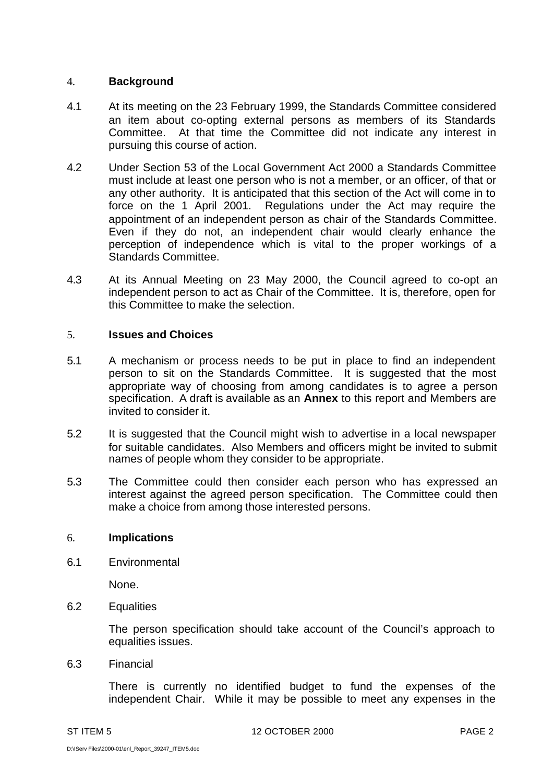# 4. **Background**

- 4.1 At its meeting on the 23 February 1999, the Standards Committee considered an item about co-opting external persons as members of its Standards Committee. At that time the Committee did not indicate any interest in pursuing this course of action.
- 4.2 Under Section 53 of the Local Government Act 2000 a Standards Committee must include at least one person who is not a member, or an officer, of that or any other authority. It is anticipated that this section of the Act will come in to force on the 1 April 2001. Regulations under the Act may require the appointment of an independent person as chair of the Standards Committee. Even if they do not, an independent chair would clearly enhance the perception of independence which is vital to the proper workings of a Standards Committee.
- 4.3 At its Annual Meeting on 23 May 2000, the Council agreed to co-opt an independent person to act as Chair of the Committee. It is, therefore, open for this Committee to make the selection.

### 5. **Issues and Choices**

- 5.1 A mechanism or process needs to be put in place to find an independent person to sit on the Standards Committee. It is suggested that the most appropriate way of choosing from among candidates is to agree a person specification. A draft is available as an **Annex** to this report and Members are invited to consider it.
- 5.2 It is suggested that the Council might wish to advertise in a local newspaper for suitable candidates. Also Members and officers might be invited to submit names of people whom they consider to be appropriate.
- 5.3 The Committee could then consider each person who has expressed an interest against the agreed person specification. The Committee could then make a choice from among those interested persons.

#### 6. **Implications**

6.1 Environmental

None.

6.2 Equalities

The person specification should take account of the Council's approach to equalities issues.

6.3 Financial

There is currently no identified budget to fund the expenses of the independent Chair. While it may be possible to meet any expenses in the